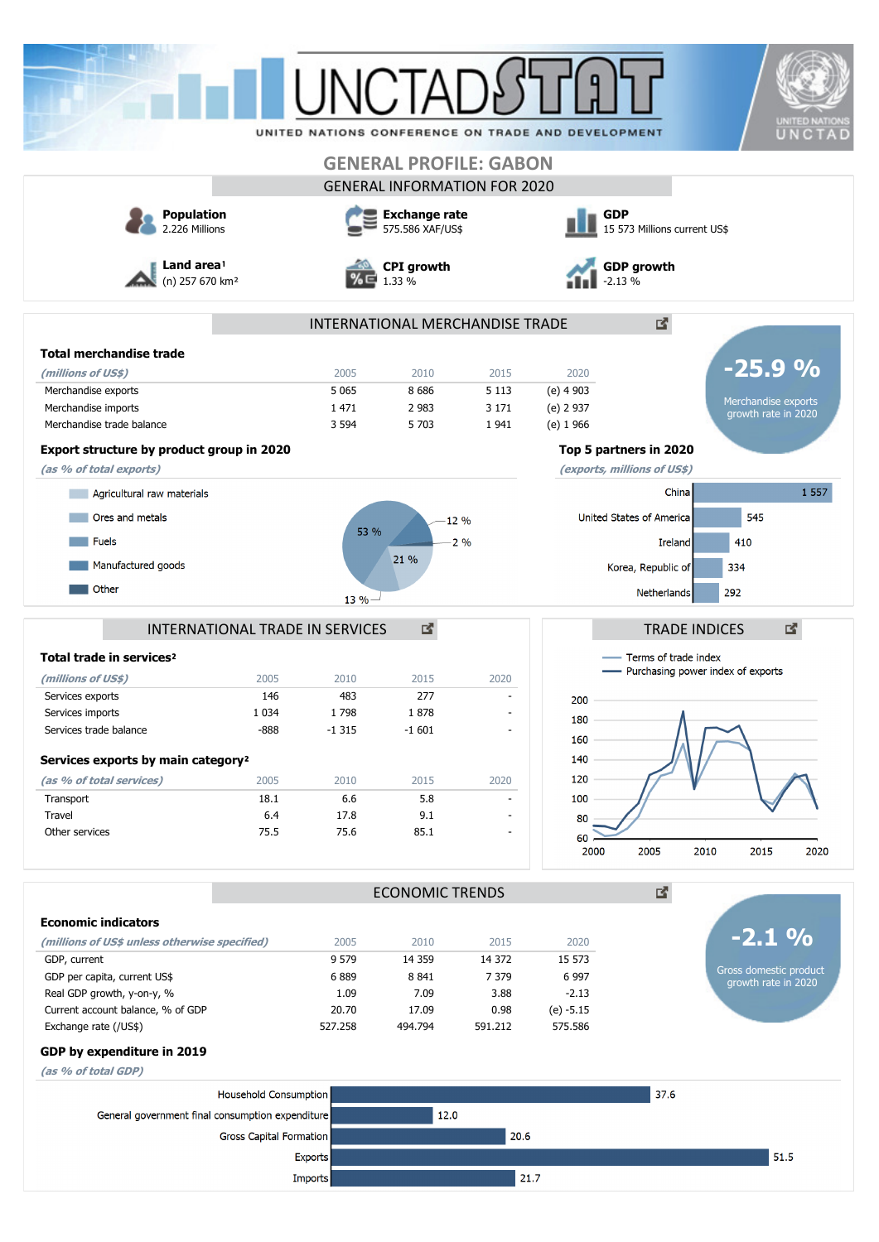|                                                               |                                 | LINIC.T <i>i</i>            |                                          |                                     |                                                    |                                            | <b>UNITED NATIONS</b>                         |  |
|---------------------------------------------------------------|---------------------------------|-----------------------------|------------------------------------------|-------------------------------------|----------------------------------------------------|--------------------------------------------|-----------------------------------------------|--|
|                                                               |                                 |                             |                                          |                                     | UNITED NATIONS CONFERENCE ON TRADE AND DEVELOPMENT |                                            | UNCTAD                                        |  |
|                                                               |                                 |                             |                                          | <b>GENERAL PROFILE: GABON</b>       |                                                    |                                            |                                               |  |
|                                                               |                                 |                             |                                          | <b>GENERAL INFORMATION FOR 2020</b> |                                                    |                                            |                                               |  |
| <b>Population</b><br>2.226 Millions                           |                                 |                             | <b>Exchange rate</b><br>575.586 XAF/US\$ |                                     |                                                    | <b>GDP</b><br>15 573 Millions current US\$ |                                               |  |
| Land area <sup>1</sup><br>(n) 257 670 km <sup>2</sup>         |                                 | <b>CPI</b> growth<br>1.33 % |                                          |                                     | <b>GDP</b> growth<br>2.13 %                        |                                            |                                               |  |
|                                                               |                                 |                             |                                          | INTERNATIONAL MERCHANDISE TRADE     |                                                    | ₫.                                         |                                               |  |
| <b>Total merchandise trade</b>                                |                                 |                             |                                          |                                     |                                                    |                                            |                                               |  |
| (millions of US\$)                                            |                                 | 2005                        | 2010                                     | 2015                                | 2020                                               |                                            | $-25.9%$                                      |  |
| Merchandise exports                                           |                                 | 5 0 6 5                     | 8686                                     | 5 1 1 3                             | (e) 4 903                                          |                                            |                                               |  |
| Merchandise imports                                           |                                 | 1 4 7 1                     | 2 9 8 3                                  | 3 1 7 1                             | (e) 2 937                                          |                                            | Merchandise exports<br>growth rate in 2020    |  |
| Merchandise trade balance                                     |                                 | 3 5 9 4                     | 5 703                                    | 1941                                | $(e)$ 1 966                                        |                                            |                                               |  |
| Export structure by product group in 2020                     |                                 |                             |                                          |                                     |                                                    | Top 5 partners in 2020                     |                                               |  |
| (as % of total exports)                                       |                                 |                             |                                          |                                     |                                                    | (exports, millions of US\$)                |                                               |  |
| Agricultural raw materials                                    |                                 |                             |                                          |                                     |                                                    | China                                      | 1 5 5 7                                       |  |
| Ores and metals                                               |                                 |                             |                                          | 12%                                 |                                                    | United States of America                   | 545                                           |  |
|                                                               |                                 | 53 %                        |                                          |                                     |                                                    |                                            |                                               |  |
| <b>Fuels</b>                                                  |                                 |                             | 21 %                                     | $-2\%$                              |                                                    | Ireland                                    | 410                                           |  |
| Manufactured goods                                            |                                 |                             |                                          |                                     |                                                    | Korea, Republic of                         | 334                                           |  |
| Other                                                         |                                 | $13 \%$                     |                                          |                                     |                                                    | Netherlands                                | 292                                           |  |
|                                                               |                                 |                             |                                          |                                     |                                                    |                                            |                                               |  |
|                                                               | INTERNATIONAL TRADE IN SERVICES |                             | 國                                        |                                     |                                                    | <b>TRADE INDICES</b>                       | 図                                             |  |
| Total trade in services <sup>2</sup>                          |                                 |                             |                                          |                                     |                                                    | - Terms of trade index                     |                                               |  |
| (millions of US\$)                                            | 2005                            | 2010                        | 2015                                     | 2020                                |                                                    | - Purchasing power index of exports        |                                               |  |
| Services exports                                              | 146                             | 483                         | 277                                      |                                     | 200                                                |                                            |                                               |  |
| Services imports                                              | 1 0 3 4                         | 1798                        | 1878                                     |                                     | 180                                                |                                            |                                               |  |
| Services trade balance                                        | -888                            | $-1315$                     | $-1601$                                  |                                     | 160                                                |                                            |                                               |  |
| Services exports by main category <sup>2</sup>                |                                 |                             |                                          |                                     | 140                                                |                                            |                                               |  |
| (as % of total services)                                      | 2005                            | 2010                        | 2015                                     | 2020                                | 120                                                |                                            |                                               |  |
| Transport                                                     | 18.1                            | 6.6                         | 5.8                                      |                                     | 100                                                |                                            |                                               |  |
| Travel                                                        | 6.4                             | 17.8                        | 9.1                                      |                                     | 80                                                 |                                            |                                               |  |
| Other services                                                | 75.5                            | 75.6                        | 85.1                                     | $\blacksquare$                      | 60<br>2000                                         | 2005<br>2010                               | 2015<br>2020                                  |  |
|                                                               |                                 |                             | <b>ECONOMIC TRENDS</b>                   |                                     |                                                    | 國                                          |                                               |  |
|                                                               |                                 |                             |                                          |                                     |                                                    |                                            |                                               |  |
| <b>Economic indicators</b>                                    |                                 |                             |                                          |                                     |                                                    |                                            | $-2.1\%$                                      |  |
| (millions of US\$ unless otherwise specified)<br>GDP, current |                                 | 2005<br>9 5 7 9             | 2010<br>14 3 59                          | 2015<br>14 372                      | 2020<br>15 573                                     |                                            |                                               |  |
| GDP per capita, current US\$                                  |                                 | 6889                        | 8 8 4 1                                  | 7 3 7 9                             | 6 9 9 7                                            |                                            | Gross domestic product<br>growth rate in 2020 |  |
| Real GDP growth, y-on-y, %                                    |                                 | 1.09                        | 7.09                                     | 3.88                                | $-2.13$                                            |                                            |                                               |  |
| Current account balance, % of GDP                             |                                 | 20.70                       | 17.09                                    | 0.98                                | $(e) -5.15$                                        |                                            |                                               |  |
| Exchange rate (/US\$)                                         |                                 | 527.258                     | 494.794                                  | 591.212                             | 575.586                                            |                                            |                                               |  |
| GDP by expenditure in 2019                                    |                                 |                             |                                          |                                     |                                                    |                                            |                                               |  |
| (as % of total GDP)                                           |                                 |                             |                                          |                                     |                                                    |                                            |                                               |  |
|                                                               | Household Consumption           |                             |                                          |                                     |                                                    | 37.6                                       |                                               |  |
| General government final consumption expenditure              |                                 |                             | 12.0                                     |                                     |                                                    |                                            |                                               |  |
|                                                               | Gross Capital Formation         |                             |                                          | 20.6                                |                                                    |                                            |                                               |  |
|                                                               | Exports                         |                             |                                          |                                     |                                                    |                                            | 51.5                                          |  |
|                                                               | Imports                         |                             |                                          |                                     | 21.7                                               |                                            |                                               |  |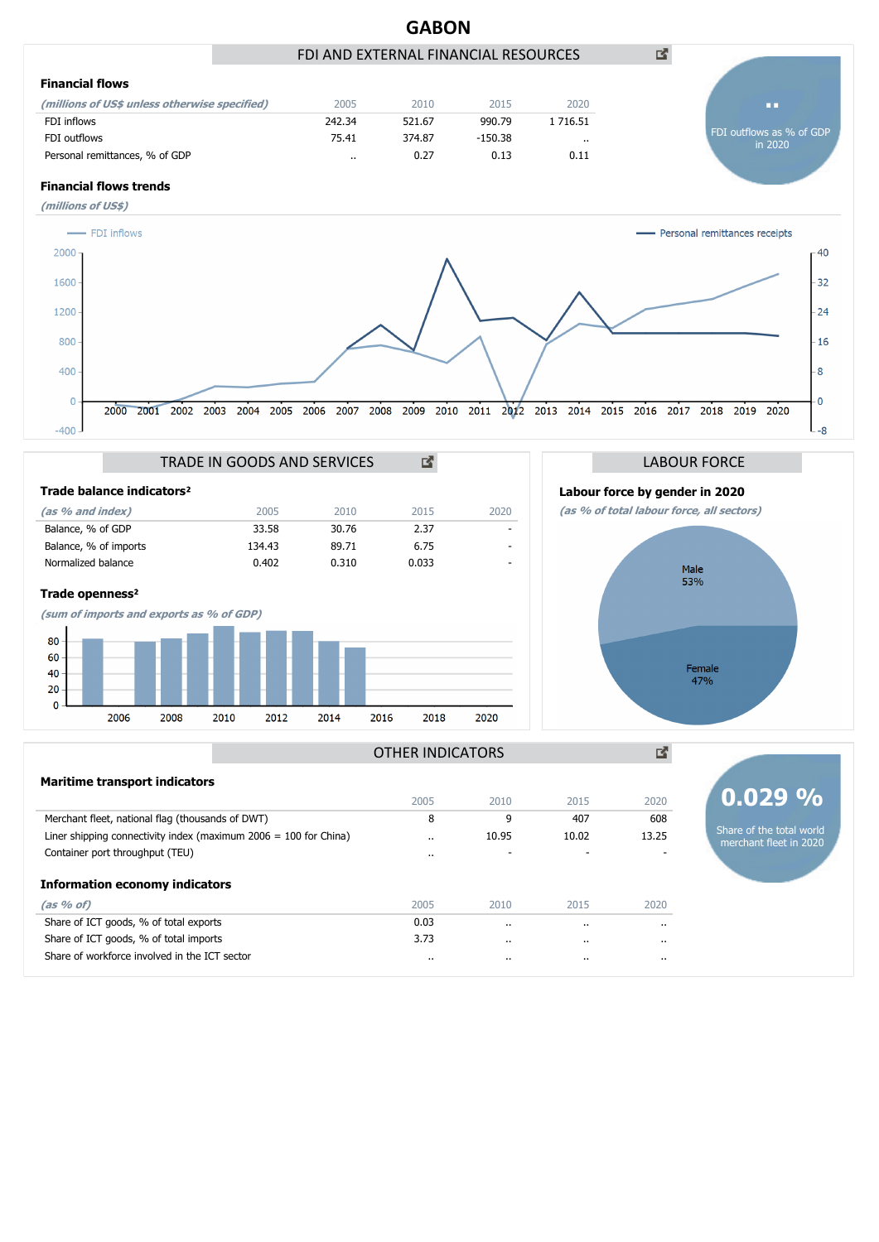

|                                                                    | CUUZ      | ZUI U                | CT07    | ZUZU     | VIV <i>LJ</i> 70                                   |
|--------------------------------------------------------------------|-----------|----------------------|---------|----------|----------------------------------------------------|
| Merchant fleet, national flag (thousands of DWT)                   | 8         | 9                    | 407     | 608      |                                                    |
| Liner shipping connectivity index (maximum $2006 = 100$ for China) | $\cdot$ . | 10.95                | 10.02   | 13.25    | Share of the total world<br>merchant fleet in 2020 |
| Container port throughput (TEU)                                    | $\cdot$ . |                      |         |          |                                                    |
| <b>Information economy indicators</b>                              |           |                      |         |          |                                                    |
| (as % of)                                                          | 2005      | 2010                 | 2015    | 2020     |                                                    |
| Share of ICT goods, % of total exports                             | 0.03      | $\ddot{\phantom{0}}$ | $\cdot$ | $\cdot$  |                                                    |
| Share of ICT goods, % of total imports                             | 3.73      | $\cdot$ .            |         | $\cdots$ |                                                    |
| Share of workforce involved in the ICT sector                      | $\cdots$  | $\cdot$ .            |         | $\cdots$ |                                                    |
|                                                                    |           |                      |         |          |                                                    |